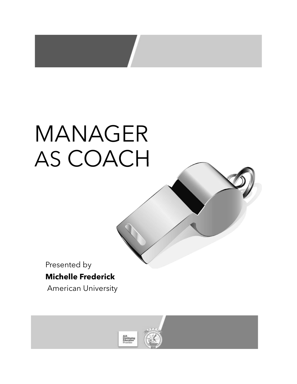# MANAGER AS COACH

Presented by

# **Michelle Frederick**

American University

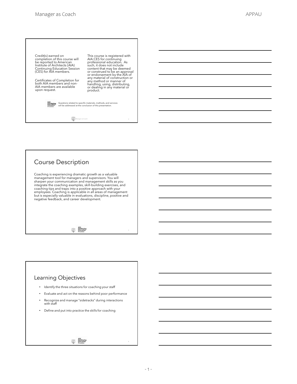

#### Course Description

Coaching is experiencing dramatic growth as a valuable<br>management tool for managers and supervisors. You will<br>sharpen your communication and management skills as you<br>integrate the coaching examples, skill-building exercise but is especially valuable in evaluations, discipline, positive and negative feedback, and career development.

AIA<br>Continuing<br>Education<br>Provides

#### Learning Objectives

- Identify the three situations for coaching your staff
- Evaluate and act on the reasons behind poor performance
- Recognize and manage "sidetracks" during interactions with staff
- Define and put into practice the skills for coaching

AIA<br>Continuing<br>Education<br>Provider

#### - 1 -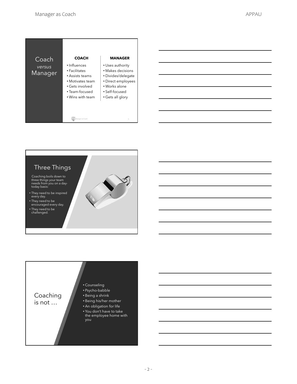| Coach             | <b>COACH</b>                                                                                                                  | <b>MANAGER</b>                                                                                                                           |
|-------------------|-------------------------------------------------------------------------------------------------------------------------------|------------------------------------------------------------------------------------------------------------------------------------------|
| versus<br>Manager | · Influences<br>• Facilitates<br>• Assists teams<br>• Motivates team<br>• Gets involved<br>• Team-focused<br>• Wins with team | • Uses authority<br>• Makes decisions<br>• Divides/delegate<br>• Direct employees<br>• Works alone<br>• Self-focused<br>• Gets all glory |
|                   | Manager as Coach                                                                                                              | 5                                                                                                                                        |





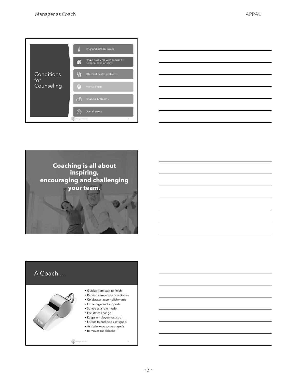| Conditions<br>for<br>Counseling | ſÄ<br>Drug and alcohol issues                                |
|---------------------------------|--------------------------------------------------------------|
|                                 | Home problems with spouse or<br>r.<br>personal relationships |
|                                 | Effects of health problems                                   |
|                                 | $\oplus$<br><b>Mental illness</b>                            |
|                                 | <b>Financial problems</b><br><b>DO</b>                       |
|                                 | <b>Overall stress</b>                                        |
|                                 | Manager as Coach<br>8                                        |





# A Coach …

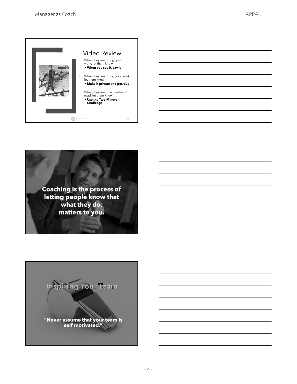



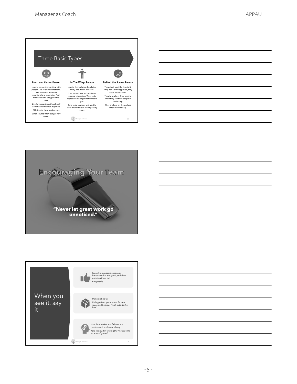





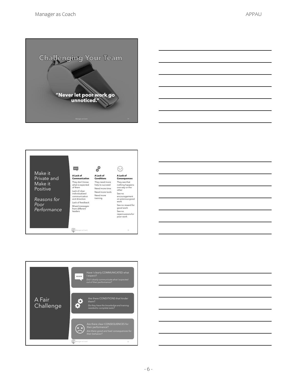







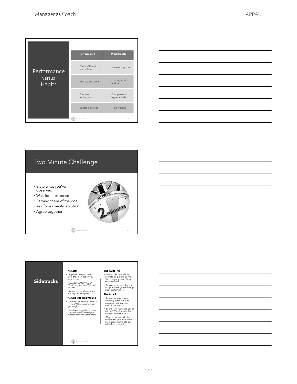| Performance<br>versus<br><b>Habits</b> | <b>Performance</b>           | <b>Work Habits</b>              |
|----------------------------------------|------------------------------|---------------------------------|
|                                        | Poor customer<br>interaction | Showing up late                 |
|                                        | Anti-team actions            | Leaving work<br>undone          |
|                                        | Poor work<br>technique       | Poor personal<br>hygiene/habits |
|                                        | Unsafe behavior              | Time wasting                    |
|                                        | Manager as Coach             | 20                              |

| <u> 1989 - Johann Stoff, deutscher Stoffen und der Stoffen und der Stoffen und der Stoffen und der Stoffen und de</u> |  |  |
|-----------------------------------------------------------------------------------------------------------------------|--|--|
| <u> 1989 - Johann Stoff, amerikansk politiker (d. 1989)</u>                                                           |  |  |
| <u> 1989 - Johann Stoff, deutscher Stoff, der Stoff, der Stoff, der Stoff, der Stoff, der Stoff, der Stoff, der S</u> |  |  |
|                                                                                                                       |  |  |
| <u> 1989 - Johann Barn, mars ann an t-Amhainn an t-Amhainn an t-Amhainn an t-Amhainn an t-Amhainn an t-Amhainn an</u> |  |  |
| <u> 1989 - Johann Stoff, Amerikaansk politiker († 1908)</u>                                                           |  |  |
|                                                                                                                       |  |  |

# Two Minute Challenge

- State what you've observed
- Wait for a response
- Remind them of the goal
- Ask for a specific solution
- Agree together





#### **Sidetracks** The Stall • Appears after you have stated the new action you want to see • Sounds like "Ok" "Sure" "That's a good idea" "I'll work on that" • Simply can be silence after you say "So we agree" The Self-Inflicted Wound • Sounds like "I know, I know, I do that" "I just can't seem to get it right" • Employee begins to criticize himself/herself before your message is even completed The Guilt Trip • Sounds like "You always seem to be picking on me" "I'm doing my best. What more can I do" • Employee acts terribly hurt or upset when you challenge poor performance The Attack - Employee attacks your<br>authority to tell him/her<br>authority to tell him/her<br>usually personal<br>Sounds like "Who are you to<br>tell me" "You don't do that<br>your self. Why should I?"<br>All the state of the state state in the state o

- -
	-

Manager as Coach 22

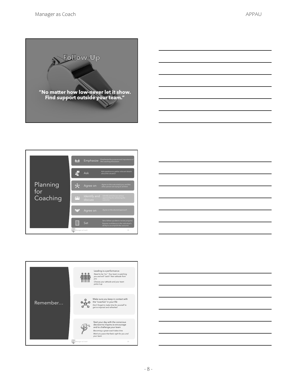







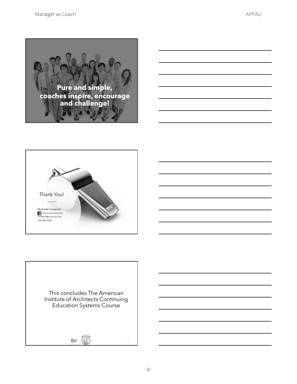



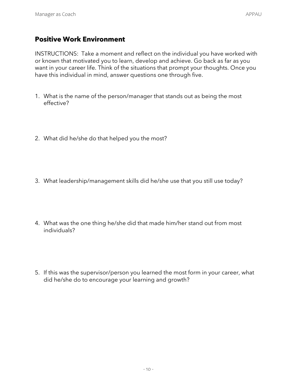### **Positive Work Environment**

INSTRUCTIONS:Take a moment and reflect on the individual you have worked with or known that motivated you to learn, develop and achieve. Go back as far as you want in your career life. Think of the situations that prompt your thoughts. Once you have this individual in mind, answer questions one through five.

- 1. What is the name of the person/manager that stands out as being the most effective?
- 2. What did he/she do that helped you the most?
- 3. What leadership/management skills did he/she use that you still use today?
- 4. What was the one thing he/she did that made him/her stand out from most individuals?
- 5. If this was the supervisor/person you learned the most form in your career, what did he/she do to encourage your learning and growth?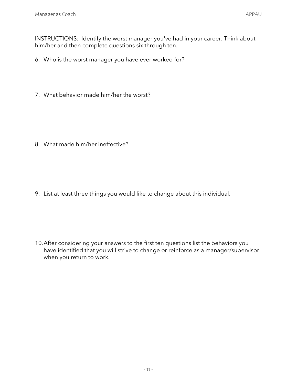- 6. Who is the worst manager you have ever worked for?
- 7. What behavior made him/her the worst?

8. What made him/her ineffective?

9. List at least three things you would like to change about this individual.

10.After considering your answers to the first ten questions list the behaviors you have identified that you will strive to change or reinforce as a manager/supervisor when you return to work.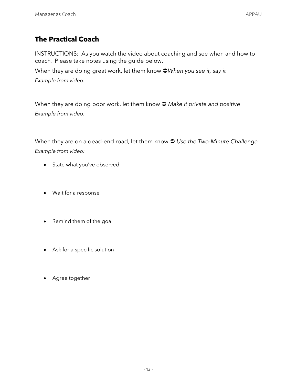## **The Practical Coach**

INSTRUCTIONS:As you watch the video about coaching and see when and how to coach*.* Please take notes using the guide below.

When they are doing great work, let them know  $\supset \text{When you see it, say it}$ *Example from video:* 

When they are doing poor work, let them know  $\supset$  *Make it private and positive Example from video:* 

When they are on a dead-end road, let them know  $\supseteq$  Use the Two-Minute Challenge *Example from video:* 

- State what you've observed
- Wait for a response
- Remind them of the goal
- Ask for a specific solution
- Agree together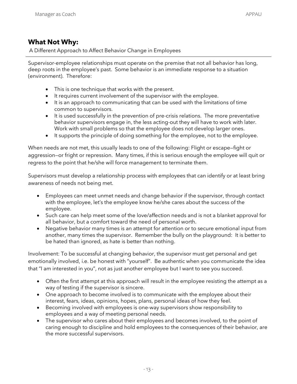#### **What Not Why:**

A Different Approach to Affect Behavior Change in Employees

Supervisor-employee relationships must operate on the premise that not all behavior has long, deep roots in the employee's past. Some behavior is an immediate response to a situation (environment). Therefore:

- This is one technique that works with the present.
- $\bullet$  It requires current involvement of the supervisor with the employee.
- It is an approach to communicating that can be used with the limitations of time common to supervisors.
- It is used successfully in the prevention of pre-crisis relations. The more preventative behavior supervisors engage in, the less acting-out they will have to work with later. Work with small problems so that the employee does not develop larger ones.
- It supports the principle of doing something for the employee, not to the employee.

When needs are not met, this usually leads to one of the following: Flight or escape—fight or aggression—or fright or repression. Many times, if this is serious enough the employee will quit or regress to the point that he/she will force management to terminate them.

Supervisors must develop a relationship process with employees that can identify or at least bring awareness of needs not being met.

- Employees can meet unmet needs and change behavior if the supervisor, through contact with the employee, let's the employee know he/she cares about the success of the employee.
- Such care can help meet some of the love/affection needs and is not a blanket approval for all behavior, but a comfort toward the need of personal worth.
- Negative behavior many times is an attempt for attention or to secure emotional input from another, many times the supervisor. Remember the bully on the playground: It is better to be hated than ignored, as hate is better than nothing.

Involvement: To be successful at changing behavior, the supervisor must get personal and get emotionally involved, i.e. be honest with "yourself". Be authentic when you communicate the idea that "I am interested in you", not as just another employee but I want to see you succeed.

- Often the first attempt at this approach will result in the employee resisting the attempt as a way of testing if the supervisor is sincere.
- One approach to become involved is to communicate with the employee about their interest, fears, ideas, opinions, hopes, plans, personal ideas of how they feel.
- x Becoming involved with employees is one-way supervisors show responsibility to employees and a way of meeting personal needs.
- The supervisor who cares about their employees and becomes involved, to the point of caring enough to discipline and hold employees to the consequences of their behavior, are the more successful supervisors.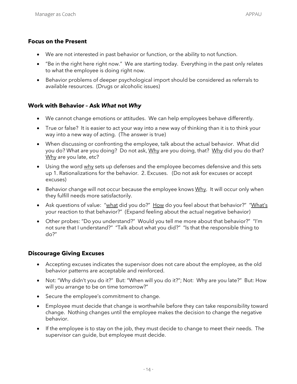#### **Focus on the Present**

- We are not interested in past behavior or function, or the ability to not function.
- "Be in the right here right now." We are starting today. Everything in the past only relates to what the employee is doing right now.
- Behavior problems of deeper psychological import should be considered as referrals to available resources. (Drugs or alcoholic issues)

#### **Work with Behavior – Ask** *What* **not** *Why*

- We cannot change emotions or attitudes. We can help employees behave differently.
- True or false? It is easier to act your way into a new way of thinking than it is to think your way into a new way of acting. (The answer is true)
- When discussing or confronting the employee, talk about the actual behavior. What did you do? What are you doing? Do not ask, Why are you doing, that? Why did you do that? Why are you late, etc?
- Using the word why sets up defenses and the employee becomes defensive and this sets up 1. Rationalizations for the behavior. 2. Excuses. (Do not ask for excuses or accept excuses)
- $\bullet$  Behavior change will not occur because the employee knows  $Why$ . It will occur only when they fulfill needs more satisfactorily.
- Ask questions of value: "what did you do?" How do you feel about that behavior?" "What's your reaction to that behavior?" (Expand feeling about the actual negative behavior)
- Other probes: "Do you understand?" Would you tell me more about that behavior?" "I'm not sure that I understand?" "Talk about what you did?" "Is that the responsible thing to do?"

#### **Discourage Giving Excuses**

- Accepting excuses indicates the supervisor does not care about the employee, as the old behavior patterns are acceptable and reinforced.
- Not: "Why didn't you do it?" But: "When will you do it?"; Not: Why are you late?" But: How will you arrange to be on time tomorrow?"
- Secure the employee's commitment to change.
- Employee must decide that change is worthwhile before they can take responsibility toward change. Nothing changes until the employee makes the decision to change the negative behavior.
- If the employee is to stay on the job, they must decide to change to meet their needs. The supervisor can guide, but employee must decide.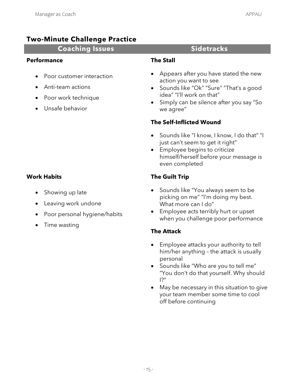### **Two-Minute Challenge Practice**

#### **Coaching Issues The Coaching Issues Sidetracks**

#### **Performance**

- Poor customer interaction
- x Anti-team actions
- Poor work technique
- x Unsafe behavior

#### **The Stall**

- Appears after you have stated the new action you want to see
- Sounds like "Ok" "Sure" "That's a good idea" "I'll work on that"
- Simply can be silence after you say "So we agree"

#### **The Self-Inflicted Wound**

- Sounds like "I know, I know, I do that" "I just can't seem to get it right"
- **Employee begins to criticize** himself/herself before your message is even completed

#### **The Guilt Trip**

- Sounds like "You always seem to be picking on me" "I'm doing my best. What more can I do"
- Employee acts terribly hurt or upset when you challenge poor performance

#### **The Attack**

- Employee attacks your authority to tell him/her anything – the attack is usually personal
- Sounds like "Who are you to tell me" "You don't do that yourself. Why should I?"
- May be necessary in this situation to give your team member some time to cool off before continuing

#### **Work Habits**

- Showing up late
- Leaving work undone
- Poor personal hygiene/habits
- $\bullet$  Time wasting